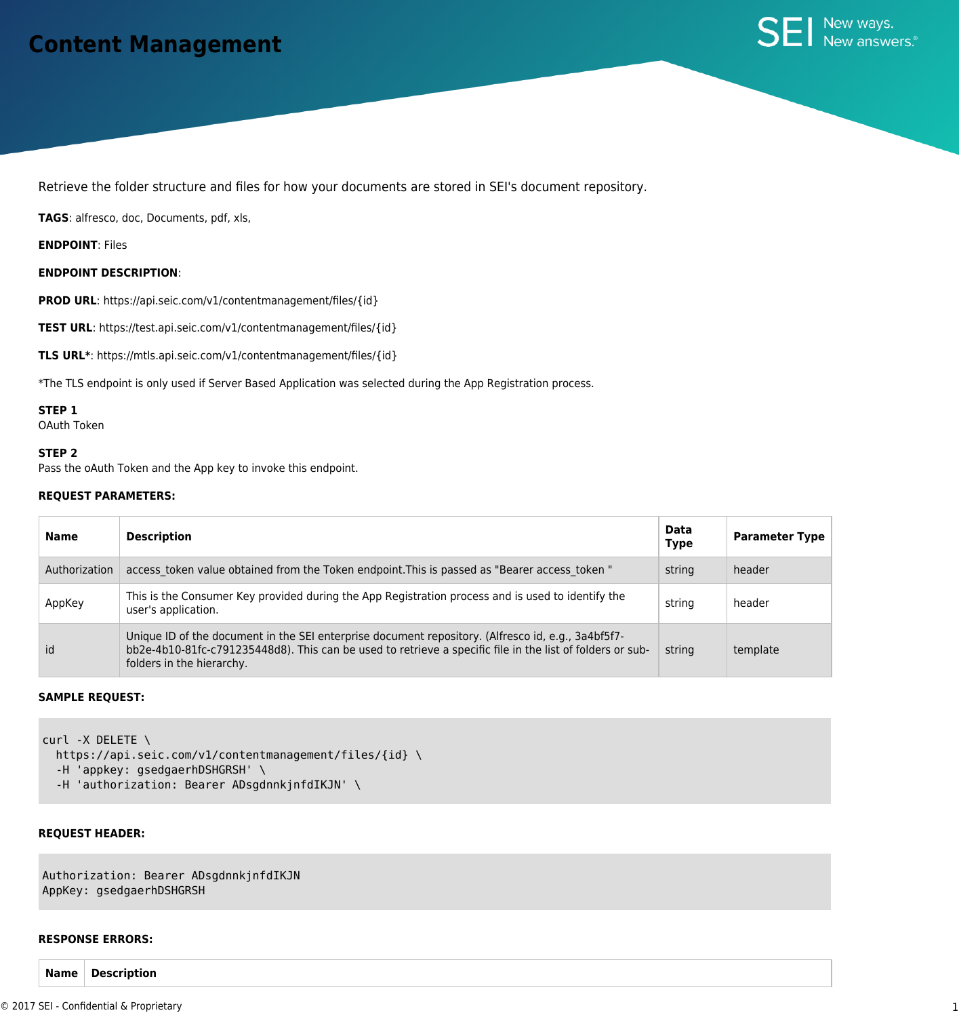# **Content Management**



Retrieve the folder structure and files for how your documents are stored in SEI's document repository.

**TAGS**: alfresco, doc, Documents, pdf, xls,

**ENDPOINT**: Files

## **ENDPOINT DESCRIPTION**:

**PROD URL**: https://api.seic.com/v1/contentmanagement/files/{id}

**TEST URL**: https://test.api.seic.com/v1/contentmanagement/files/{id}

**TLS URL\***: https://mtls.api.seic.com/v1/contentmanagement/files/{id}

\*The TLS endpoint is only used if Server Based Application was selected during the App Registration process.

**STEP 1**

OAuth Token

#### **STEP 2**

Pass the oAuth Token and the App key to invoke this endpoint.

### **REQUEST PARAMETERS:**

| <b>Name</b>   | <b>Description</b>                                                                                                                                                                                                                           | <b>Data</b><br><b>Type</b> | <b>Parameter Type</b> |
|---------------|----------------------------------------------------------------------------------------------------------------------------------------------------------------------------------------------------------------------------------------------|----------------------------|-----------------------|
| Authorization | access token value obtained from the Token endpoint. This is passed as "Bearer access token "                                                                                                                                                | string                     | header                |
| AppKey        | This is the Consumer Key provided during the App Registration process and is used to identify the<br>user's application.                                                                                                                     | string                     | header                |
| id            | Unique ID of the document in the SEI enterprise document repository. (Alfresco id, e.g., 3a4bf5f7-<br>bb2e-4b10-81fc-c791235448d8). This can be used to retrieve a specific file in the list of folders or sub-<br>folders in the hierarchy. | string                     | template              |

#### **SAMPLE REQUEST:**

```
curl -X DELETE \
```

```
https://api.seic.com/v1/contentmanagement/files/{id} \
```
-H 'appkey: gsedgaerhDSHGRSH' \

-H 'authorization: Bearer ADsgdnnkjnfdIKJN' \

#### **REQUEST HEADER:**

Authorization: Bearer ADsgdnnkjnfdIKJN AppKey: gsedgaerhDSHGRSH

#### **RESPONSE ERRORS:**

**Name Description**